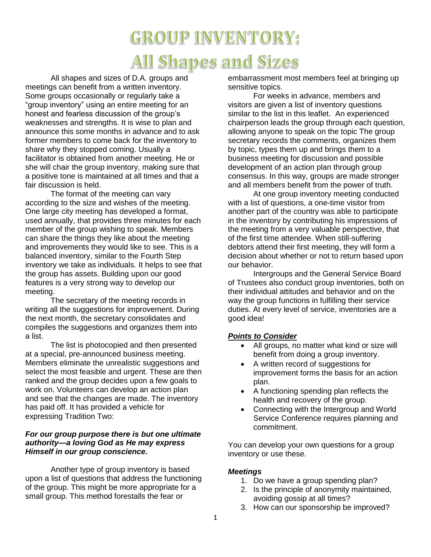# **GROUP INVENTORY: All Shapes and Sizes**

All shapes and sizes of D.A. groups and meetings can benefit from a written inventory. Some groups occasionally or regularly take a "group inventory" using an entire meeting for an honest and fearless discussion of the group's weaknesses and strengths. It is wise to plan and announce this some months in advance and to ask former members to come back for the inventory to share why they stopped coming. Usually a facilitator is obtained from another meeting. He or she will chair the group inventory, making sure that a positive tone is maintained at all times and that a fair discussion is held.

The format of the meeting can vary according to the size and wishes of the meeting. One large city meeting has developed a format, used annually, that provides three minutes for each member of the group wishing to speak. Members can share the things they like about the meeting and improvements they would like to see. This is a balanced inventory, similar to the Fourth Step inventory we take as individuals. It helps to see that the group has assets. Building upon our good features is a very strong way to develop our meeting.

The secretary of the meeting records in writing all the suggestions for improvement. During the next month, the secretary consolidates and compiles the suggestions and organizes them into a list.

The list is photocopied and then presented at a special, pre-announced business meeting. Members eliminate the unrealistic suggestions and select the most feasible and urgent. These are then ranked and the group decides upon a few goals to work on. Volunteers can develop an action plan and see that the changes are made. The inventory has paid off. It has provided a vehicle for expressing Tradition Two:

#### *For our group purpose there is but one ultimate authority—a loving God as He may express Himself in our group conscience.*

Another type of group inventory is based upon a list of questions that address the functioning of the group. This might be more appropriate for a small group. This method forestalls the fear or

embarrassment most members feel at bringing up sensitive topics.

For weeks in advance, members and visitors are given a list of inventory questions similar to the list in this leaflet. An experienced chairperson leads the group through each question, allowing anyone to speak on the topic The group secretary records the comments, organizes them by topic, types them up and brings them to a business meeting for discussion and possible development of an action plan through group consensus. In this way, groups are made stronger and all members benefit from the power of truth.

At one group inventory meeting conducted with a list of questions, a one-time visitor from another part of the country was able to participate in the inventory by contributing his impressions of the meeting from a very valuable perspective, that of the first time attendee. When still-suffering debtors attend their first meeting, they will form a decision about whether or not to return based upon our behavior.

Intergroups and the General Service Board of Trustees also conduct group inventories, both on their individual attitudes and behavior and on the way the group functions in fulfilling their service duties. At every level of service, inventories are a good idea!

#### *Points to Consider*

- All groups, no matter what kind or size will benefit from doing a group inventory.
- A written record of suggestions for improvement forms the basis for an action plan.
- A functioning spending plan reflects the health and recovery of the group.
- Connecting with the Intergroup and World Service Conference requires planning and commitment.

You can develop your own questions for a group inventory or use these.

#### *Meetings*

- 1. Do we have a group spending plan?
- 2. Is the principle of anonymity maintained, avoiding gossip at all times?
- 3. How can our sponsorship be improved?